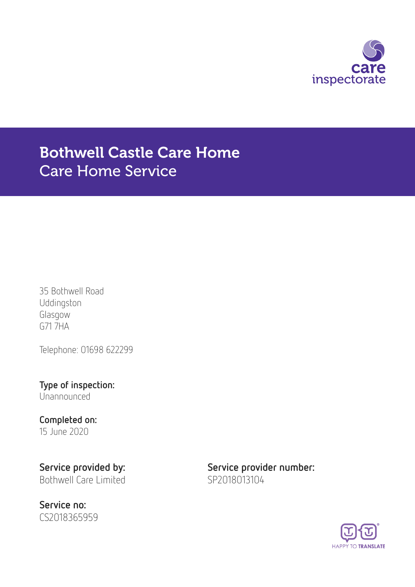

# Bothwell Castle Care Home Care Home Service

35 Bothwell Road Uddingston Glasgow G71 7HA

Telephone: 01698 622299

Type of inspection: Unannounced

### Completed on: 15 June 2020

Bothwell Care Limited SP2018013104

Service no: CS2018365959

Service provided by: Service provider number:

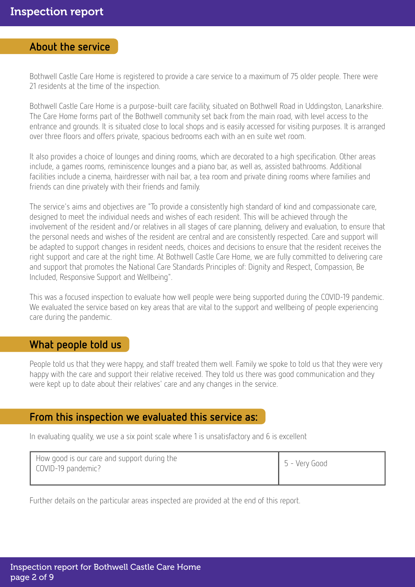### About the service

Bothwell Castle Care Home is registered to provide a care service to a maximum of 75 older people. There were 21 residents at the time of the inspection.

Bothwell Castle Care Home is a purpose-built care facility, situated on Bothwell Road in Uddingston, Lanarkshire. The Care Home forms part of the Bothwell community set back from the main road, with level access to the entrance and grounds. It is situated close to local shops and is easily accessed for visiting purposes. It is arranged over three floors and offers private, spacious bedrooms each with an en suite wet room.

It also provides a choice of lounges and dining rooms, which are decorated to a high specification. Other areas include, a games rooms, reminiscence lounges and a piano bar, as well as, assisted bathrooms. Additional facilities include a cinema, hairdresser with nail bar, a tea room and private dining rooms where families and friends can dine privately with their friends and family.

The service's aims and objectives are "To provide a consistently high standard of kind and compassionate care, designed to meet the individual needs and wishes of each resident. This will be achieved through the involvement of the resident and/or relatives in all stages of care planning, delivery and evaluation, to ensure that the personal needs and wishes of the resident are central and are consistently respected. Care and support will be adapted to support changes in resident needs, choices and decisions to ensure that the resident receives the right support and care at the right time. At Bothwell Castle Care Home, we are fully committed to delivering care and support that promotes the National Care Standards Principles of: Dignity and Respect, Compassion, Be Included, Responsive Support and Wellbeing".

This was a focused inspection to evaluate how well people were being supported during the COVID-19 pandemic. We evaluated the service based on key areas that are vital to the support and wellbeing of people experiencing care during the pandemic.

### What people told us

People told us that they were happy, and staff treated them well. Family we spoke to told us that they were very happy with the care and support their relative received. They told us there was good communication and they were kept up to date about their relatives' care and any changes in the service.

### From this inspection we evaluated this service as:

In evaluating quality, we use a six point scale where 1 is unsatisfactory and 6 is excellent

| How good is our care and support during the<br>COVID-19 pandemic? | $5 - V$ ery Good |
|-------------------------------------------------------------------|------------------|
|                                                                   |                  |

Further details on the particular areas inspected are provided at the end of this report.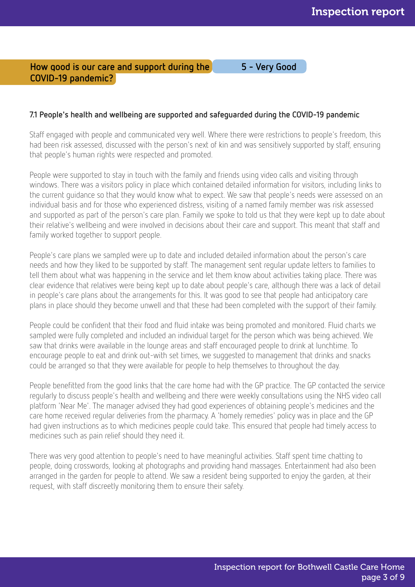### How good is our care and support during the 5 - Very Good COVID-19 pandemic?

### 7.1 People's health and wellbeing are supported and safeguarded during the COVID-19 pandemic

Staff engaged with people and communicated very well. Where there were restrictions to people's freedom, this had been risk assessed, discussed with the person's next of kin and was sensitively supported by staff, ensuring that people's human rights were respected and promoted.

People were supported to stay in touch with the family and friends using video calls and visiting through windows. There was a visitors policy in place which contained detailed information for visitors, including links to the current guidance so that they would know what to expect. We saw that people's needs were assessed on an individual basis and for those who experienced distress, visiting of a named family member was risk assessed and supported as part of the person's care plan. Family we spoke to told us that they were kept up to date about their relative's wellbeing and were involved in decisions about their care and support. This meant that staff and family worked together to support people.

People's care plans we sampled were up to date and included detailed information about the person's care needs and how they liked to be supported by staff. The management sent regular update letters to families to tell them about what was happening in the service and let them know about activities taking place. There was clear evidence that relatives were being kept up to date about people's care, although there was a lack of detail in people's care plans about the arrangements for this. It was good to see that people had anticipatory care plans in place should they become unwell and that these had been completed with the support of their family.

People could be confident that their food and fluid intake was being promoted and monitored. Fluid charts we sampled were fully completed and included an individual target for the person which was being achieved. We saw that drinks were available in the lounge areas and staff encouraged people to drink at lunchtime. To encourage people to eat and drink out-with set times, we suggested to management that drinks and snacks could be arranged so that they were available for people to help themselves to throughout the day.

People benefitted from the good links that the care home had with the GP practice. The GP contacted the service regularly to discuss people's health and wellbeing and there were weekly consultations using the NHS video call platform 'Near Me'. The manager advised they had good experiences of obtaining people's medicines and the care home received regular deliveries from the pharmacy. A 'homely remedies' policy was in place and the GP had given instructions as to which medicines people could take. This ensured that people had timely access to medicines such as pain relief should they need it.

There was very good attention to people's need to have meaningful activities. Staff spent time chatting to people, doing crosswords, looking at photographs and providing hand massages. Entertainment had also been arranged in the garden for people to attend. We saw a resident being supported to enjoy the garden, at their request, with staff discreetly monitoring them to ensure their safety.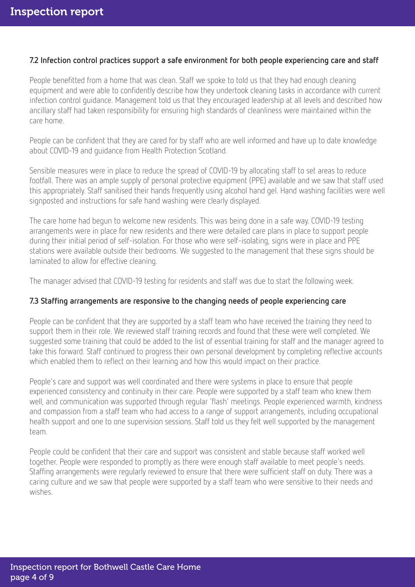### 7.2 Infection control practices support a safe environment for both people experiencing care and staff

People benefitted from a home that was clean. Staff we spoke to told us that they had enough cleaning equipment and were able to confidently describe how they undertook cleaning tasks in accordance with current infection control guidance. Management told us that they encouraged leadership at all levels and described how ancillary staff had taken responsibility for ensuring high standards of cleanliness were maintained within the care home.

People can be confident that they are cared for by staff who are well informed and have up to date knowledge about COVID-19 and guidance from Health Protection Scotland.

Sensible measures were in place to reduce the spread of COVID-19 by allocating staff to set areas to reduce footfall. There was an ample supply of personal protective equipment (PPE) available and we saw that staff used this appropriately. Staff sanitised their hands frequently using alcohol hand gel. Hand washing facilities were well signposted and instructions for safe hand washing were clearly displayed.

The care home had begun to welcome new residents. This was being done in a safe way. COVID-19 testing arrangements were in place for new residents and there were detailed care plans in place to support people during their initial period of self-isolation. For those who were self-isolating, signs were in place and PPE stations were available outside their bedrooms. We suggested to the management that these signs should be laminated to allow for effective cleaning.

The manager advised that COVID-19 testing for residents and staff was due to start the following week.

### 7.3 Staffing arrangements are responsive to the changing needs of people experiencing care

People can be confident that they are supported by a staff team who have received the training they need to support them in their role. We reviewed staff training records and found that these were well completed. We suggested some training that could be added to the list of essential training for staff and the manager agreed to take this forward. Staff continued to progress their own personal development by completing reflective accounts which enabled them to reflect on their learning and how this would impact on their practice.

People's care and support was well coordinated and there were systems in place to ensure that people experienced consistency and continuity in their care. People were supported by a staff team who knew them well, and communication was supported through regular 'flash' meetings. People experienced warmth, kindness and compassion from a staff team who had access to a range of support arrangements, including occupational health support and one to one supervision sessions. Staff told us they felt well supported by the management team.

People could be confident that their care and support was consistent and stable because staff worked well together. People were responded to promptly as there were enough staff available to meet people's needs. Staffing arrangements were regularly reviewed to ensure that there were sufficient staff on duty. There was a caring culture and we saw that people were supported by a staff team who were sensitive to their needs and wishes.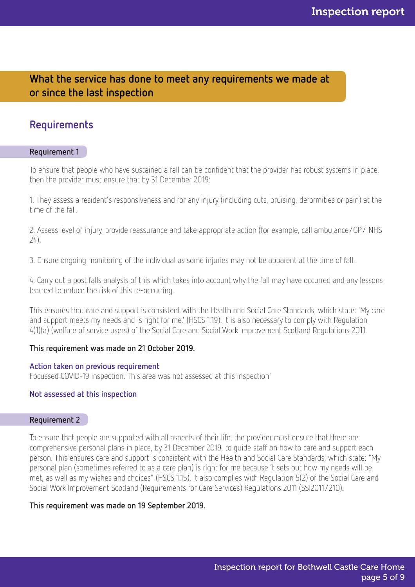### What the service has done to meet any requirements we made at or since the last inspection

### Requirements

### Requirement 1

To ensure that people who have sustained a fall can be confident that the provider has robust systems in place, then the provider must ensure that by 31 December 2019:

1. They assess a resident's responsiveness and for any injury (including cuts, bruising, deformities or pain) at the time of the fall.

2. Assess level of injury, provide reassurance and take appropriate action (for example, call ambulance/GP/ NHS 24).

3. Ensure ongoing monitoring of the individual as some injuries may not be apparent at the time of fall.

4. Carry out a post falls analysis of this which takes into account why the fall may have occurred and any lessons learned to reduce the risk of this re-occurring.

This ensures that care and support is consistent with the Health and Social Care Standards, which state: 'My care and support meets my needs and is right for me.' (HSCS 1.19). It is also necessary to comply with Regulation 4(1)(a) (welfare of service users) of the Social Care and Social Work Improvement Scotland Regulations 2011.

### This requirement was made on 21 October 2019.

### Action taken on previous requirement

Focussed COVID-19 inspection. This area was not assessed at this inspection"

### Not assessed at this inspection

### Requirement 2

To ensure that people are supported with all aspects of their life, the provider must ensure that there are comprehensive personal plans in place, by 31 December 2019, to guide staff on how to care and support each person. This ensures care and support is consistent with the Health and Social Care Standards, which state: "My personal plan (sometimes referred to as a care plan) is right for me because it sets out how my needs will be met, as well as my wishes and choices" (HSCS 1.15). It also complies with Regulation 5(2) of the Social Care and Social Work Improvement Scotland (Requirements for Care Services) Regulations 2011 (SSI2011/210).

### This requirement was made on 19 September 2019.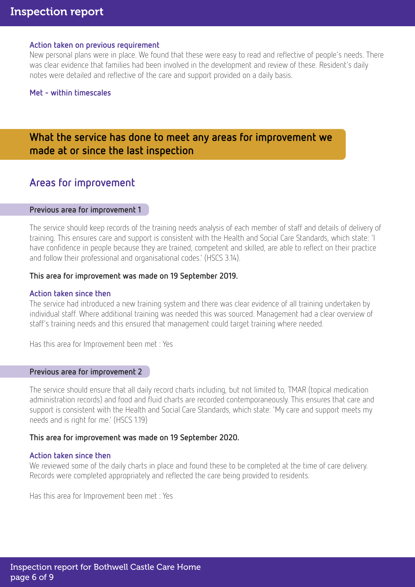### Action taken on previous requirement

New personal plans were in place. We found that these were easy to read and reflective of people's needs. There was clear evidence that families had been involved in the development and review of these. Resident's daily notes were detailed and reflective of the care and support provided on a daily basis.

### Met - within timescales

### What the service has done to meet any areas for improvement we made at or since the last inspection

### Areas for improvement

### Previous area for improvement 1

The service should keep records of the training needs analysis of each member of staff and details of delivery of training. This ensures care and support is consistent with the Health and Social Care Standards, which state: 'I have confidence in people because they are trained, competent and skilled, are able to reflect on their practice and follow their professional and organisational codes.' (HSCS 3.14).

### This area for improvement was made on 19 September 2019.

### Action taken since then

The service had introduced a new training system and there was clear evidence of all training undertaken by individual staff. Where additional training was needed this was sourced. Management had a clear overview of staff's training needs and this ensured that management could target training where needed.

Has this area for Improvement been met : Yes

### Previous area for improvement 2

The service should ensure that all daily record charts including, but not limited to, TMAR (topical medication administration records) and food and fluid charts are recorded contemporaneously. This ensures that care and support is consistent with the Health and Social Care Standards, which state: 'My care and support meets my needs and is right for me.' (HSCS 1.19)

### This area for improvement was made on 19 September 2020.

### Action taken since then

We reviewed some of the daily charts in place and found these to be completed at the time of care delivery. Records were completed appropriately and reflected the care being provided to residents.

Has this area for Improvement been met : Yes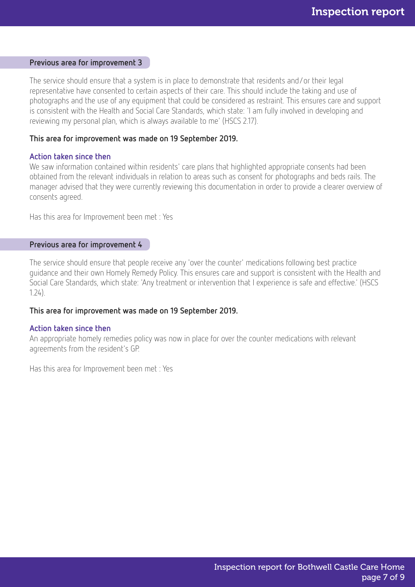#### Previous area for improvement 3

The service should ensure that a system is in place to demonstrate that residents and/or their legal representative have consented to certain aspects of their care. This should include the taking and use of photographs and the use of any equipment that could be considered as restraint. This ensures care and support is consistent with the Health and Social Care Standards, which state: 'I am fully involved in developing and reviewing my personal plan, which is always available to me' (HSCS 2.17).

#### This area for improvement was made on 19 September 2019.

#### Action taken since then

We saw information contained within residents' care plans that highlighted appropriate consents had been obtained from the relevant individuals in relation to areas such as consent for photographs and beds rails. The manager advised that they were currently reviewing this documentation in order to provide a clearer overview of consents agreed.

Has this area for Improvement been met : Yes

### Previous area for improvement 4

The service should ensure that people receive any 'over the counter' medications following best practice guidance and their own Homely Remedy Policy. This ensures care and support is consistent with the Health and Social Care Standards, which state: 'Any treatment or intervention that I experience is safe and effective.' (HSCS 1.24).

### This area for improvement was made on 19 September 2019.

#### Action taken since then

An appropriate homely remedies policy was now in place for over the counter medications with relevant agreements from the resident's GP.

Has this area for Improvement been met : Yes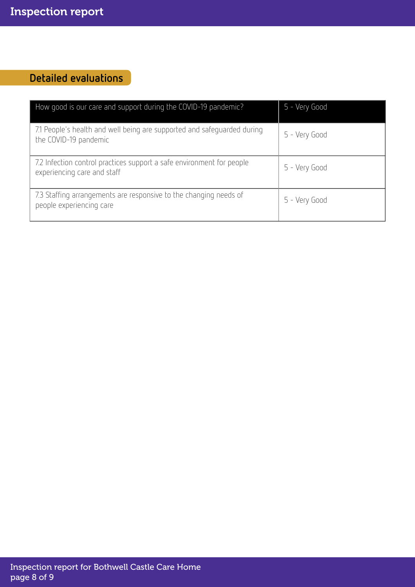## Detailed evaluations

| How good is our care and support during the COVID-19 pandemic?                                       | 5 - Very Good |
|------------------------------------------------------------------------------------------------------|---------------|
| 7.1 People's health and well being are supported and safeguarded during<br>the COVID-19 pandemic     | 5 - Very Good |
| 7.2 Infection control practices support a safe environment for people<br>experiencing care and staff | 5 - Very Good |
| 7.3 Staffing arrangements are responsive to the changing needs of<br>people experiencing care        | 5 - Very Good |